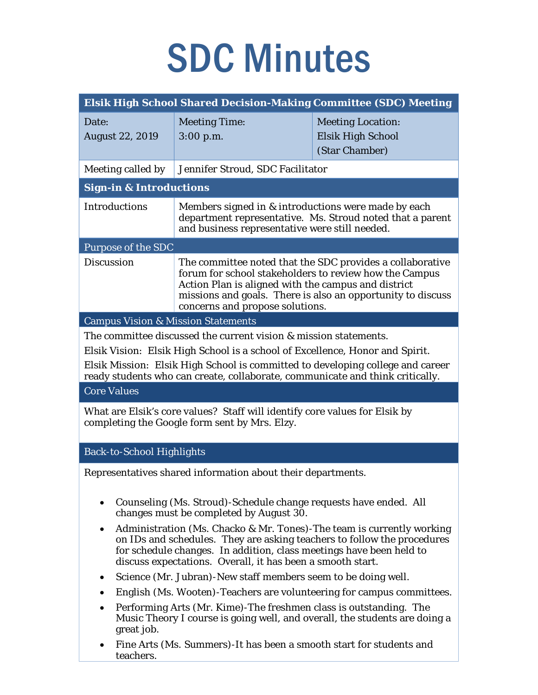## SDC Minutes

| Elsik High School Shared Decision-Making Committee (SDC) Meeting                                                                                                                                                                                                                                                                                                                                                                                                         |                                                                                                                                                                                                                                                                                                                                                                                                                                                       |                                                                                                                                                                                                                                                                                                         |  |
|--------------------------------------------------------------------------------------------------------------------------------------------------------------------------------------------------------------------------------------------------------------------------------------------------------------------------------------------------------------------------------------------------------------------------------------------------------------------------|-------------------------------------------------------------------------------------------------------------------------------------------------------------------------------------------------------------------------------------------------------------------------------------------------------------------------------------------------------------------------------------------------------------------------------------------------------|---------------------------------------------------------------------------------------------------------------------------------------------------------------------------------------------------------------------------------------------------------------------------------------------------------|--|
| Date:<br><b>August 22, 2019</b>                                                                                                                                                                                                                                                                                                                                                                                                                                          | <b>Meeting Time:</b><br>$3:00$ p.m.                                                                                                                                                                                                                                                                                                                                                                                                                   | <b>Meeting Location:</b><br>Elsik High School<br>(Star Chamber)                                                                                                                                                                                                                                         |  |
| Jennifer Stroud, SDC Facilitator<br>Meeting called by                                                                                                                                                                                                                                                                                                                                                                                                                    |                                                                                                                                                                                                                                                                                                                                                                                                                                                       |                                                                                                                                                                                                                                                                                                         |  |
| <b>Sign-in &amp; Introductions</b>                                                                                                                                                                                                                                                                                                                                                                                                                                       |                                                                                                                                                                                                                                                                                                                                                                                                                                                       |                                                                                                                                                                                                                                                                                                         |  |
| <b>Introductions</b>                                                                                                                                                                                                                                                                                                                                                                                                                                                     | Members signed in & introductions were made by each<br>department representative. Ms. Stroud noted that a parent<br>and business representative were still needed.                                                                                                                                                                                                                                                                                    |                                                                                                                                                                                                                                                                                                         |  |
| <b>Purpose of the SDC</b>                                                                                                                                                                                                                                                                                                                                                                                                                                                |                                                                                                                                                                                                                                                                                                                                                                                                                                                       |                                                                                                                                                                                                                                                                                                         |  |
| <b>Discussion</b>                                                                                                                                                                                                                                                                                                                                                                                                                                                        | The committee noted that the SDC provides a collaborative<br>forum for school stakeholders to review how the Campus<br>Action Plan is aligned with the campus and district<br>missions and goals. There is also an opportunity to discuss<br>concerns and propose solutions.                                                                                                                                                                          |                                                                                                                                                                                                                                                                                                         |  |
| <b>Campus Vision &amp; Mission Statements</b>                                                                                                                                                                                                                                                                                                                                                                                                                            |                                                                                                                                                                                                                                                                                                                                                                                                                                                       |                                                                                                                                                                                                                                                                                                         |  |
| The committee discussed the current vision & mission statements.<br>Elsik Vision: Elsik High School is a school of Excellence, Honor and Spirit.<br>Elsik Mission: Elsik High School is committed to developing college and career<br>ready students who can create, collaborate, communicate and think critically.<br><b>Core Values</b><br>What are Elsik's core values? Staff will identify core values for Elsik by<br>completing the Google form sent by Mrs. Elzy. |                                                                                                                                                                                                                                                                                                                                                                                                                                                       |                                                                                                                                                                                                                                                                                                         |  |
| <b>Back-to-School Highlights</b>                                                                                                                                                                                                                                                                                                                                                                                                                                         |                                                                                                                                                                                                                                                                                                                                                                                                                                                       |                                                                                                                                                                                                                                                                                                         |  |
| ٠<br>٠<br>great job.                                                                                                                                                                                                                                                                                                                                                                                                                                                     | Representatives shared information about their departments.<br>Counseling (Ms. Stroud)-Schedule change requests have ended. All<br>changes must be completed by August 30.<br>for schedule changes. In addition, class meetings have been held to<br>discuss expectations. Overall, it has been a smooth start.<br>Science (Mr. Jubran)-New staff members seem to be doing well.<br>Performing Arts (Mr. Kime)-The freshmen class is outstanding. The | Administration (Ms. Chacko & Mr. Tones)-The team is currently working<br>on IDs and schedules. They are asking teachers to follow the procedures<br>English (Ms. Wooten)-Teachers are volunteering for campus committees.<br>Music Theory I course is going well, and overall, the students are doing a |  |
|                                                                                                                                                                                                                                                                                                                                                                                                                                                                          | Fine Arts (Ms. Summers)-It has been a smooth start for students and                                                                                                                                                                                                                                                                                                                                                                                   |                                                                                                                                                                                                                                                                                                         |  |

teachers.